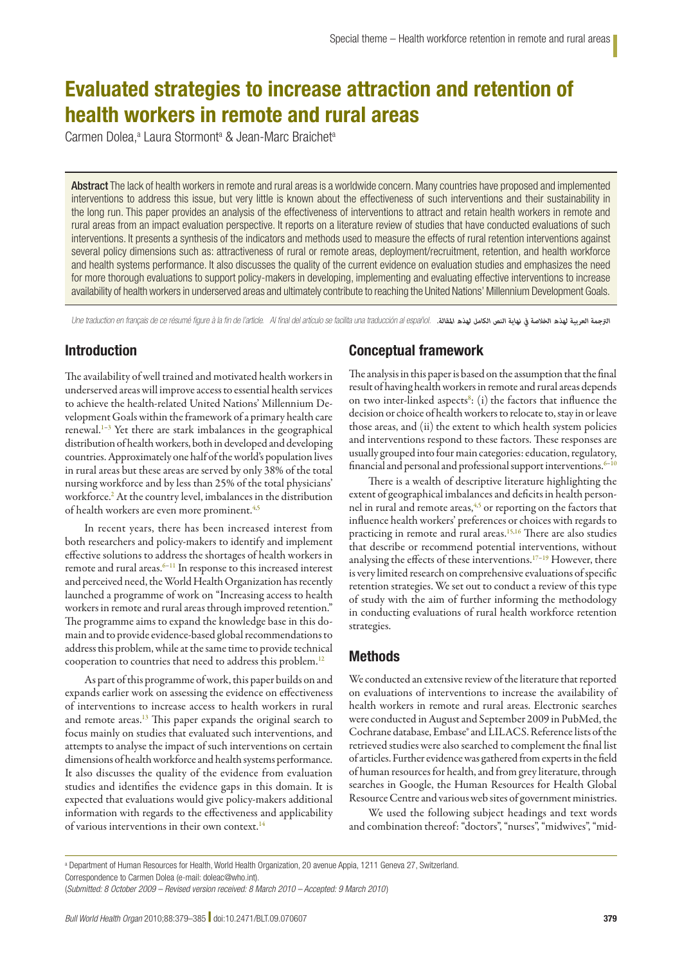# Evaluated strategies to increase attraction and retention of health workers in remote and rural areas

Carmen Dolea,<sup>a</sup> Laura Stormont<sup>a</sup> & Jean-Marc Braichet<sup>a</sup>

Abstract The lack of health workers in remote and rural areas is a worldwide concern. Many countries have proposed and implemented interventions to address this issue, but very little is known about the effectiveness of such interventions and their sustainability in the long run. This paper provides an analysis of the effectiveness of interventions to attract and retain health workers in remote and rural areas from an impact evaluation perspective. It reports on a literature review of studies that have conducted evaluations of such interventions. It presents a synthesis of the indicators and methods used to measure the effects of rural retention interventions against several policy dimensions such as: attractiveness of rural or remote areas, deployment/recruitment, retention, and health workforce and health systems performance. It also discusses the quality of the current evidence on evaluation studies and emphasizes the need for more thorough evaluations to support policy-makers in developing, implementing and evaluating effective interventions to increase availability of health workers in underserved areas and ultimately contribute to reaching the United Nations' Millennium Development Goals.

Une traduction en français de ce résumé figure à la fin de l'article. Al final del artículo se facilita una traducción al español. *.املقالة لهذه الكامل النص نهاية يف الخالصة لهذه العربية الرتجمة*

# Introduction

The availability of well trained and motivated health workers in underserved areas will improve access to essential health services to achieve the health-related United Nations' Millennium Development Goals within the framework of a primary health care renewal.<sup>1-3</sup> Yet there are stark imbalances in the geographical distribution of health workers, both in developed and developing countries. Approximately one half of the world's population lives in rural areas but these areas are served by only 38% of the total nursing workforce and by less than 25% of the total physicians' workforce.<sup>2</sup> At the country level, imbalances in the distribution of health workers are even more prominent.<sup>4,5</sup>

In recent years, there has been increased interest from both researchers and policy-makers to identify and implement effective solutions to address the shortages of health workers in remote and rural areas.<sup>6–11</sup> In response to this increased interest and perceived need, the World Health Organization has recently launched a programme of work on "Increasing access to health workers in remote and rural areas through improved retention." The programme aims to expand the knowledge base in this domain and to provide evidence-based global recommendations to address this problem, while at the same time to provide technical cooperation to countries that need to address this problem.12

As part of this programme of work, this paper builds on and expands earlier work on assessing the evidence on effectiveness of interventions to increase access to health workers in rural and remote areas.<sup>13</sup> This paper expands the original search to focus mainly on studies that evaluated such interventions, and attempts to analyse the impact of such interventions on certain dimensions of health workforce and health systems performance. It also discusses the quality of the evidence from evaluation studies and identifies the evidence gaps in this domain. It is expected that evaluations would give policy-makers additional information with regards to the effectiveness and applicability of various interventions in their own context.<sup>14</sup>

# Conceptual framework

The analysis in this paper is based on the assumption that the final result of having health workers in remote and rural areas depends on two inter-linked aspects $s$ : (i) the factors that influence the decision or choice of health workers to relocate to, stay in or leave those areas, and (ii) the extent to which health system policies and interventions respond to these factors. These responses are usually grouped into four main categories: education, regulatory, financial and personal and professional support interventions. $6-10$ 

There is a wealth of descriptive literature highlighting the extent of geographical imbalances and deficits in health personnel in rural and remote areas,<sup>4,5</sup> or reporting on the factors that influence health workers' preferences or choices with regards to practicing in remote and rural areas.15,16 There are also studies that describe or recommend potential interventions, without analysing the effects of these interventions.<sup>17-19</sup> However, there is very limited research on comprehensive evaluations of specific retention strategies. We set out to conduct a review of this type of study with the aim of further informing the methodology in conducting evaluations of rural health workforce retention strategies.

# Methods

We conducted an extensive review of the literature that reported on evaluations of interventions to increase the availability of health workers in remote and rural areas. Electronic searches were conducted in August and September 2009 in PubMed, the Cochrane database, Embase® and LILACS. Reference lists of the retrieved studies were also searched to complement the final list of articles. Further evidence was gathered from experts in the field of human resources for health, and from grey literature, through searches in Google, the Human Resources for Health Global Resource Centre and various web sites of government ministries.

We used the following subject headings and text words and combination thereof: "doctors", "nurses", "midwives", "mid-

a Department of Human Resources for Health, World Health Organization, 20 avenue Appia, 1211 Geneva 27, Switzerland.

Correspondence to Carmen Dolea (e-mail: doleac@who.int).

<sup>(</sup>*Submitted: 8 October 2009 – Revised version received: 8 March 2010 – Accepted: 9 March 2010* )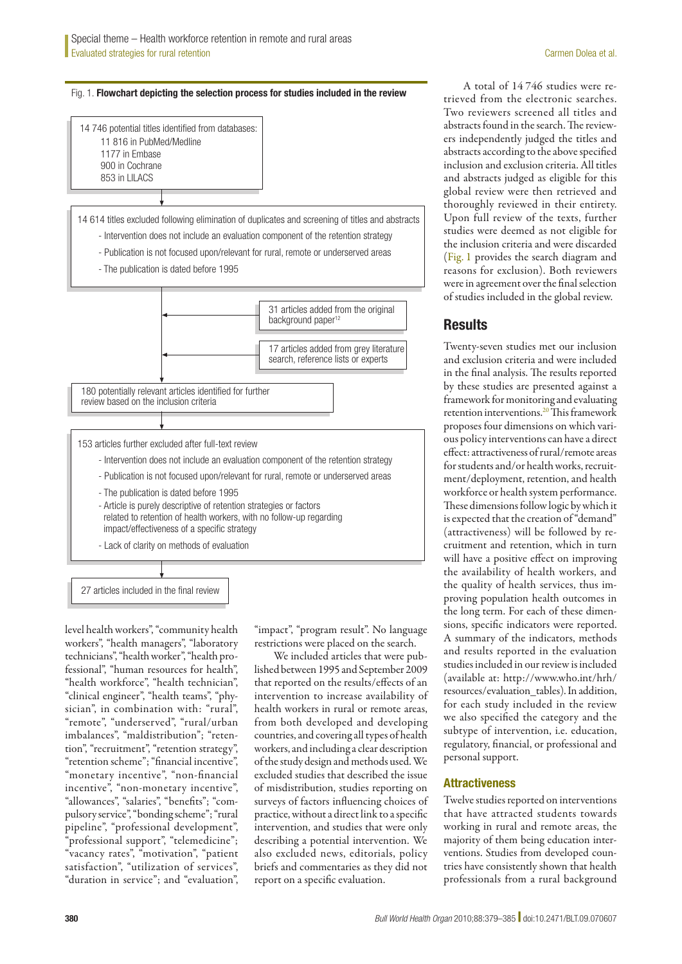Fig. 1. Flowchart depicting the selection process for studies included in the review



27 articles included in the final review

level health workers", "community health workers", "health managers", "laboratory technicians", "health worker", "health professional", "human resources for health", "health workforce", "health technician", "clinical engineer", "health teams", "physician", in combination with: "rural", "remote", "underserved", "rural/urban imbalances", "maldistribution"; "retention", "recruitment", "retention strategy", "retention scheme"; "financial incentive", "monetary incentive", "non-financial incentive", "non-monetary incentive", "allowances", "salaries", "benefits"; "compulsory service", "bonding scheme"; "rural pipeline", "professional development", "professional support", "telemedicine"; "vacancy rates", "motivation", "patient satisfaction", "utilization of services", "duration in service"; and "evaluation",

"impact", "program result". No language restrictions were placed on the search.

We included articles that were published between 1995 and September 2009 that reported on the results/effects of an intervention to increase availability of health workers in rural or remote areas, from both developed and developing countries, and covering all types of health workers, and including a clear description of the study design and methods used. We excluded studies that described the issue of misdistribution, studies reporting on surveys of factors influencing choices of practice, without a direct link to a specific intervention, and studies that were only describing a potential intervention. We also excluded news, editorials, policy briefs and commentaries as they did not report on a specific evaluation.

A total of 14 746 studies were retrieved from the electronic searches. Two reviewers screened all titles and abstracts found in the search. The reviewers independently judged the titles and abstracts according to the above specified inclusion and exclusion criteria. All titles and abstracts judged as eligible for this global review were then retrieved and thoroughly reviewed in their entirety. Upon full review of the texts, further studies were deemed as not eligible for the inclusion criteria and were discarded (Fig. 1 provides the search diagram and reasons for exclusion). Both reviewers were in agreement over the final selection of studies included in the global review.

# **Results**

Twenty-seven studies met our inclusion and exclusion criteria and were included in the final analysis. The results reported by these studies are presented against a framework for monitoring and evaluating retention interventions.20 This framework proposes four dimensions on which various policy interventions can have a direct effect: attractiveness of rural/remote areas for students and/or health works, recruitment/deployment, retention, and health workforce or health system performance. These dimensions follow logic by which it is expected that the creation of "demand" (attractiveness) will be followed by recruitment and retention, which in turn will have a positive effect on improving the availability of health workers, and the quality of health services, thus improving population health outcomes in the long term. For each of these dimensions, specific indicators were reported. A summary of the indicators, methods and results reported in the evaluation studies included in our review is included (available at: [http://www.who.int/hrh/](http://www.who.int/hrh/resources/evaluation_tables) [resources/evaluation\\_tables](http://www.who.int/hrh/resources/evaluation_tables)). In addition, for each study included in the review we also specified the category and the subtype of intervention, i.e. education, regulatory, financial, or professional and personal support.

# **Attractiveness**

Twelve studies reported on interventions that have attracted students towards working in rural and remote areas, the majority of them being education interventions. Studies from developed countries have consistently shown that health professionals from a rural background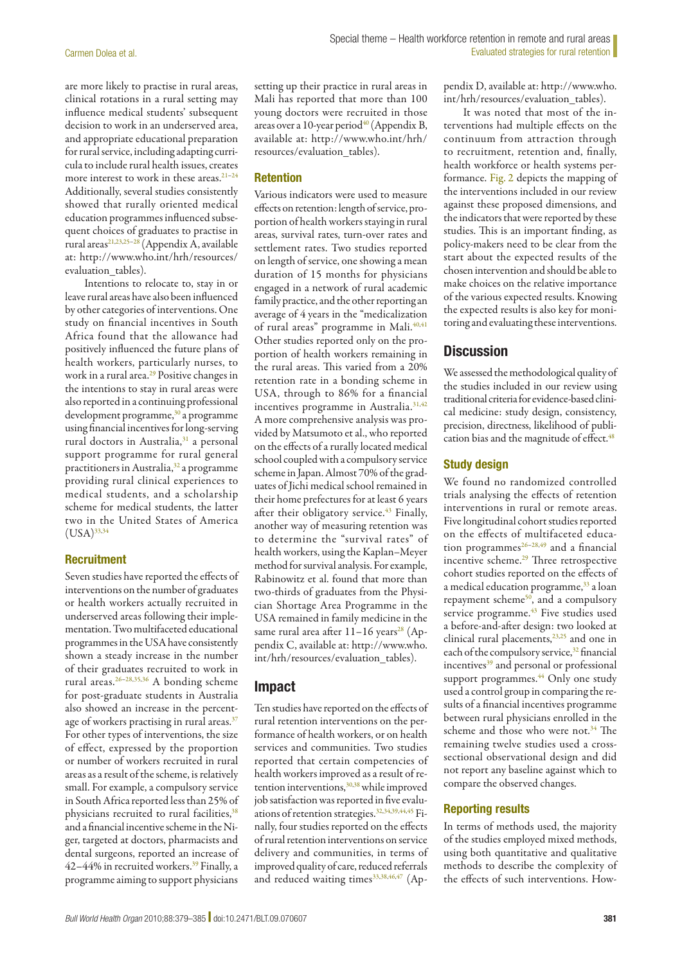are more likely to practise in rural areas, clinical rotations in a rural setting may influence medical students' subsequent decision to work in an underserved area, and appropriate educational preparation for rural service, including adapting curricula to include rural health issues, creates more interest to work in these areas.<sup>21-24</sup> Additionally, several studies consistently showed that rurally oriented medical education programmes influenced subsequent choices of graduates to practise in rural areas<sup>21,23,25-28</sup> (Appendix A, available at: [http://www.who.int/hrh/resources/](http://www.who.int/hrh/resources/evaluation_tables) evaluation tables).

Intentions to relocate to, stay in or leave rural areas have also been influenced by other categories of interventions. One study on financial incentives in South Africa found that the allowance had positively influenced the future plans of health workers, particularly nurses, to work in a rural area.<sup>29</sup> Positive changes in the intentions to stay in rural areas were also reported in a continuing professional development programme,<sup>30</sup> a programme using financial incentives for long-serving rural doctors in Australia,<sup>31</sup> a personal support programme for rural general practitioners in Australia,<sup>32</sup> a programme providing rural clinical experiences to medical students, and a scholarship scheme for medical students, the latter two in the United States of America  $(USA)^{33,34}$ 

#### **Recruitment**

Seven studies have reported the effects of interventions on the number of graduates or health workers actually recruited in underserved areas following their implementation. Two multifaceted educational programmes in the USA have consistently shown a steady increase in the number of their graduates recruited to work in rural areas.26–28,35,36 A bonding scheme for post-graduate students in Australia also showed an increase in the percentage of workers practising in rural areas.<sup>37</sup> For other types of interventions, the size of effect, expressed by the proportion or number of workers recruited in rural areas as a result of the scheme, is relatively small. For example, a compulsory service in South Africa reported less than 25% of physicians recruited to rural facilities,<sup>38</sup> and a financial incentive scheme in the Niger, targeted at doctors, pharmacists and dental surgeons, reported an increase of 42-44% in recruited workers.<sup>39</sup> Finally, a programme aiming to support physicians

setting up their practice in rural areas in Mali has reported that more than 100 young doctors were recruited in those areas over a 10-year period<sup>40</sup> (Appendix B, available at: [http://www.who.int/hrh/](http://www.who.int/hrh/resources/evaluation_tables) [resources/evaluation\\_tables](http://www.who.int/hrh/resources/evaluation_tables)).

#### Retention

Various indicators were used to measure effects on retention: length of service, proportion of health workers staying in rural areas, survival rates, turn-over rates and settlement rates. Two studies reported on length of service, one showing a mean duration of 15 months for physicians engaged in a network of rural academic family practice, and the other reporting an average of 4 years in the "medicalization of rural areas" programme in Mali.<sup>40,41</sup> Other studies reported only on the proportion of health workers remaining in the rural areas. This varied from a 20% retention rate in a bonding scheme in USA, through to 86% for a financial incentives programme in Australia.<sup>31,42</sup> A more comprehensive analysis was provided by Matsumoto et al., who reported on the effects of a rurally located medical school coupled with a compulsory service scheme in Japan. Almost 70% of the graduates of Jichi medical school remained in their home prefectures for at least 6 years after their obligatory service.<sup>43</sup> Finally, another way of measuring retention was to determine the "survival rates" of health workers, using the Kaplan–Meyer method for survival analysis. For example, Rabinowitz et al. found that more than two-thirds of graduates from the Physician Shortage Area Programme in the USA remained in family medicine in the same rural area after  $11-16$  years<sup>28</sup> (Appendix C, available at: [http://www.who.](http://www.who.int/hrh/resources/evaluation_tables) [int/hrh/resources/evaluation\\_tables](http://www.who.int/hrh/resources/evaluation_tables)).

### Impact

Ten studies have reported on the effects of rural retention interventions on the performance of health workers, or on health services and communities. Two studies reported that certain competencies of health workers improved as a result of retention interventions,  $30,38$  while improved job satisfaction was reported in five evaluations of retention strategies.32,34,39,44,45 Finally, four studies reported on the effects of rural retention interventions on service delivery and communities, in terms of improved quality of care, reduced referrals and reduced waiting times<sup>33,38,46,47</sup> (Appendix D, available at: [http://www.who.](http://www.who.int/hrh/resources/evaluation_tables) [int/hrh/resources/evaluation\\_tables\)](http://www.who.int/hrh/resources/evaluation_tables).

It was noted that most of the interventions had multiple effects on the continuum from attraction through to recruitment, retention and, finally, health workforce or health systems performance. Fig. 2 depicts the mapping of the interventions included in our review against these proposed dimensions, and the indicators that were reported by these studies. This is an important finding, as policy-makers need to be clear from the start about the expected results of the chosen intervention and should be able to make choices on the relative importance of the various expected results. Knowing the expected results is also key for monitoring and evaluating these interventions.

# **Discussion**

We assessed the methodological quality of the studies included in our review using traditional criteria for evidence-based clinical medicine: study design, consistency, precision, directness, likelihood of publication bias and the magnitude of effect.<sup>48</sup>

#### Study design

We found no randomized controlled trials analysing the effects of retention interventions in rural or remote areas. Five longitudinal cohort studies reported on the effects of multifaceted education programmes<sup>26-28,49</sup> and a financial incentive scheme.29 Three retrospective cohort studies reported on the effects of a medical education programme,<sup>33</sup> a loan repayment scheme $50$ , and a compulsory service programme.<sup>43</sup> Five studies used a before-and-after design: two looked at clinical rural placements, $23,25$  and one in each of the compulsory service,<sup>32</sup> financial incentives<sup>39</sup> and personal or professional support programmes.<sup>44</sup> Only one study used a control group in comparing the results of a financial incentives programme between rural physicians enrolled in the scheme and those who were not.<sup>34</sup> The remaining twelve studies used a crosssectional observational design and did not report any baseline against which to compare the observed changes.

#### Reporting results

In terms of methods used, the majority of the studies employed mixed methods, using both quantitative and qualitative methods to describe the complexity of the effects of such interventions. How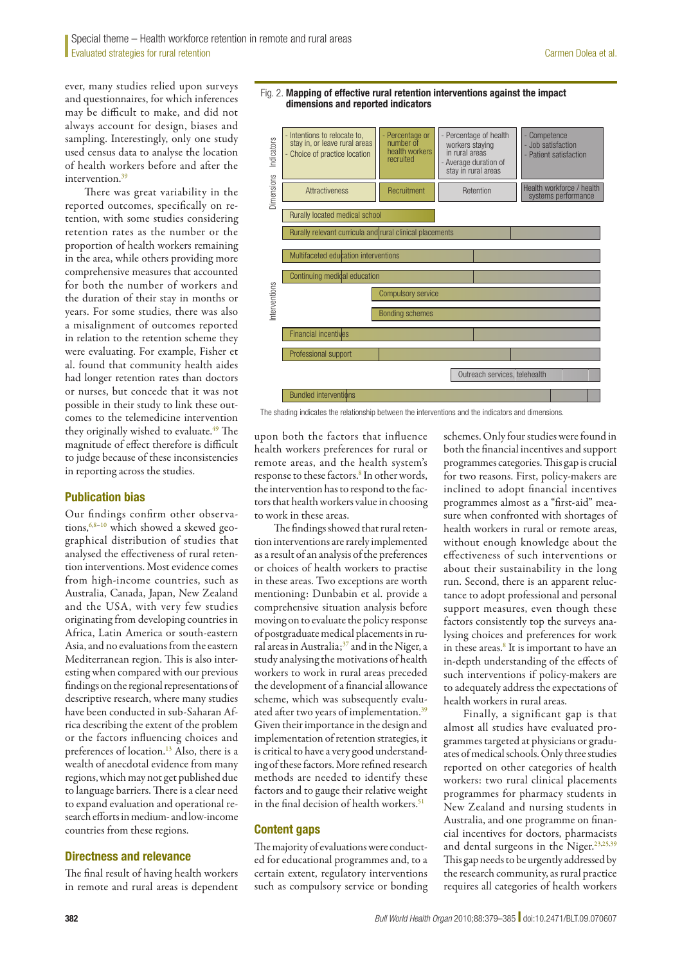ever, many studies relied upon surveys and questionnaires, for which inferences may be difficult to make, and did not always account for design, biases and sampling. Interestingly, only one study used census data to analyse the location of health workers before and after the intervention.<sup>39</sup>

There was great variability in the reported outcomes, specifically on retention, with some studies considering retention rates as the number or the proportion of health workers remaining in the area, while others providing more comprehensive measures that accounted for both the number of workers and the duration of their stay in months or years. For some studies, there was also a misalignment of outcomes reported in relation to the retention scheme they were evaluating. For example, Fisher et al. found that community health aides had longer retention rates than doctors or nurses, but concede that it was not possible in their study to link these outcomes to the telemedicine intervention they originally wished to evaluate.<sup>49</sup> The magnitude of effect therefore is difficult to judge because of these inconsistencies in reporting across the studies.

#### Publication bias

Our findings confirm other observations,<sup>6,8-10</sup> which showed a skewed geographical distribution of studies that analysed the effectiveness of rural retention interventions. Most evidence comes from high-income countries, such as Australia, Canada, Japan, New Zealand and the USA, with very few studies originating from developing countries in Africa, Latin America or south-eastern Asia, and no evaluations from the eastern Mediterranean region. This is also interesting when compared with our previous findings on the regional representations of descriptive research, where many studies have been conducted in sub-Saharan Africa describing the extent of the problem or the factors influencing choices and preferences of location.<sup>13</sup> Also, there is a wealth of anecdotal evidence from many regions, which may not get published due to language barriers. There is a clear need to expand evaluation and operational research efforts in medium- and low-income countries from these regions.

#### Directness and relevance

The final result of having health workers in remote and rural areas is dependent



Fig. 2. Mapping of effective rural retention interventions against the impact

The shading indicates the relationship between the interventions and the indicators and dimensions.

upon both the factors that influence health workers preferences for rural or remote areas, and the health system's response to these factors.<sup>8</sup> In other words, the intervention has to respond to the factors that health workers value in choosing to work in these areas.

The findings showed that rural retention interventions are rarely implemented as a result of an analysis of the preferences or choices of health workers to practise in these areas. Two exceptions are worth mentioning: Dunbabin et al. provide a comprehensive situation analysis before moving on to evaluate the policy response of postgraduate medical placements in rural areas in Australia;37 and in the Niger, a study analysing the motivations of health workers to work in rural areas preceded the development of a financial allowance scheme, which was subsequently evaluated after two years of implementation.<sup>39</sup> Given their importance in the design and implementation of retention strategies, it is critical to have a very good understanding of these factors. More refined research methods are needed to identify these factors and to gauge their relative weight in the final decision of health workers.<sup>51</sup>

#### Content gaps

The majority of evaluations were conducted for educational programmes and, to a certain extent, regulatory interventions such as compulsory service or bonding

schemes. Only four studies were found in both the financial incentives and support programmes categories. This gap is crucial for two reasons. First, policy-makers are inclined to adopt financial incentives programmes almost as a "first-aid" measure when confronted with shortages of health workers in rural or remote areas, without enough knowledge about the effectiveness of such interventions or about their sustainability in the long run. Second, there is an apparent reluctance to adopt professional and personal support measures, even though these factors consistently top the surveys analysing choices and preferences for work in these areas.<sup>8</sup> It is important to have an in-depth understanding of the effects of such interventions if policy-makers are to adequately address the expectations of health workers in rural areas.

Finally, a significant gap is that almost all studies have evaluated programmes targeted at physicians or graduates of medical schools. Only three studies reported on other categories of health workers: two rural clinical placements programmes for pharmacy students in New Zealand and nursing students in Australia, and one programme on financial incentives for doctors, pharmacists and dental surgeons in the Niger.<sup>23,25,39</sup> This gap needs to be urgently addressed by the research community, as rural practice requires all categories of health workers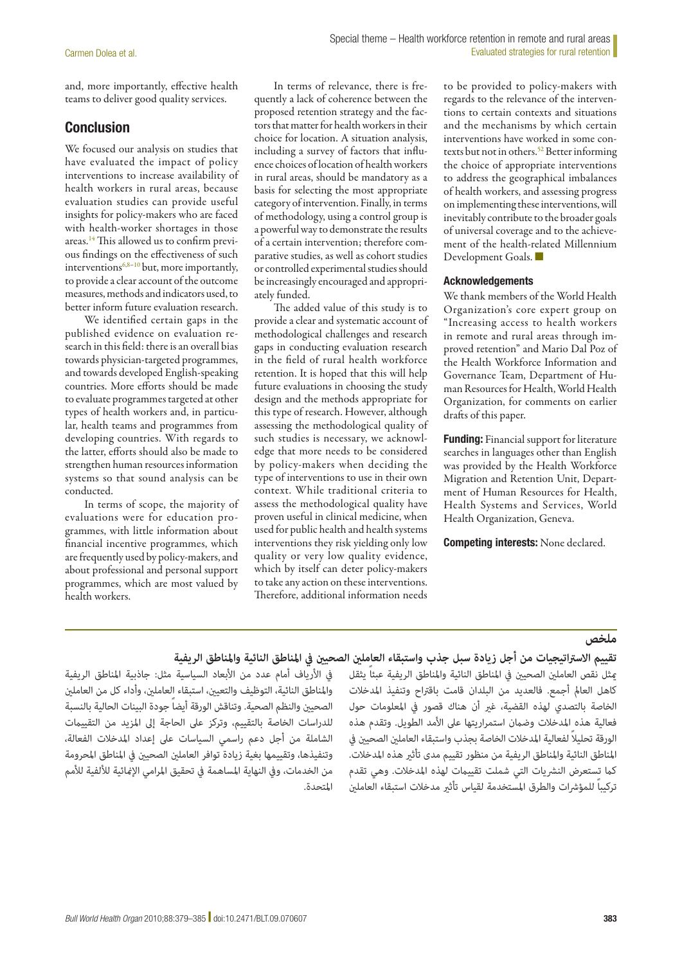and, more importantly, effective health teams to deliver good quality services.

# Conclusion

We focused our analysis on studies that have evaluated the impact of policy interventions to increase availability of health workers in rural areas, because evaluation studies can provide useful insights for policy-makers who are faced with health-worker shortages in those areas.14 This allowed us to confirm previous findings on the effectiveness of such interventions $6,8-10$  but, more importantly, to provide a clear account of the outcome measures, methods and indicators used, to better inform future evaluation research.

We identified certain gaps in the published evidence on evaluation research in this field: there is an overall bias towards physician-targeted programmes, and towards developed English-speaking countries. More efforts should be made to evaluate programmes targeted at other types of health workers and, in particular, health teams and programmes from developing countries. With regards to the latter, efforts should also be made to strengthen human resources information systems so that sound analysis can be conducted.

In terms of scope, the majority of evaluations were for education programmes, with little information about financial incentive programmes, which are frequently used by policy-makers, and about professional and personal support programmes, which are most valued by health workers.

In terms of relevance, there is frequently a lack of coherence between the proposed retention strategy and the factors that matter for health workers in their choice for location. A situation analysis, including a survey of factors that influence choices of location of health workers in rural areas, should be mandatory as a basis for selecting the most appropriate category of intervention. Finally, in terms of methodology, using a control group is a powerful way to demonstrate the results of a certain intervention; therefore comparative studies, as well as cohort studies or controlled experimental studies should be increasingly encouraged and appropriately funded.

The added value of this study is to provide a clear and systematic account of methodological challenges and research gaps in conducting evaluation research in the field of rural health workforce retention. It is hoped that this will help future evaluations in choosing the study design and the methods appropriate for this type of research. However, although assessing the methodological quality of such studies is necessary, we acknowledge that more needs to be considered by policy-makers when deciding the type of interventions to use in their own context. While traditional criteria to assess the methodological quality have proven useful in clinical medicine, when used for public health and health systems interventions they risk yielding only low quality or very low quality evidence, which by itself can deter policy-makers to take any action on these interventions. Therefore, additional information needs

to be provided to policy-makers with regards to the relevance of the interventions to certain contexts and situations and the mechanisms by which certain interventions have worked in some contexts but not in others.<sup>52</sup> Better informing the choice of appropriate interventions to address the geographical imbalances of health workers, and assessing progress on implementing these interventions, will inevitably contribute to the broader goals of universal coverage and to the achievement of the health-related Millennium Development Goals. ■

#### Acknowledgements

We thank members of the World Health Organization's core expert group on "Increasing access to health workers in remote and rural areas through improved retention" and Mario Dal Poz of the Health Workforce Information and Governance Team, Department of Human Resources for Health, World Health Organization, for comments on earlier drafts of this paper.

**Funding:** Financial support for literature searches in languages other than English was provided by the Health Workforce Migration and Retention Unit, Department of Human Resources for Health, Health Systems and Services, World Health Organization, Geneva.

Competing interests: None declared.

# **ملخص**

ميثل نقص العاملني الصحيني يف املناطق النائية واملناطق الريفية عبئاً يثقل كاهل العامل أجمع. فالعديد من البلدان قامت باقرتاح وتنفيذ املدخالت الخاصة بالتصدي لهذه القضية، غري أن هناك قصور يف املعلومات حول فعالية هذه املدخالت وضامن استمراريتها عىل األمد الطويل. وتقدم هذه ً الورقة تحليال لفعالية املدخالت الخاصة بجذب واستبقاء العاملني الصحيني يف املناطق النائية واملناطق الريفية من منظور تقييم مدى تأثري هذه املدخالت. كما تستعرض النشريات التي شملت تقييمات لهذه المدخلات. وهي تقدم تركيباً للمؤشرات والطرق المستخدمة لقياس تأثر مدخلات استبقاء العاملن

# **تقييم االسرتاتيجيات من أجل زيادة سبل جذب واستبقاء العاملني الصحيني يف املناطق النائية واملناطق الريفية**

في الأرياف أمام عدد من الأبعاد السياسية مثل: جاذبية المناطق الريفية واملناطق النائية، التوظيف والتعيني، استبقاء العاملني، وأداء كل من العاملني الصحيني والنظم الصحية. وتناقش الورقة أيضاً جودة البينات الحالية بالنسبة للدراسات الخاصة بالتقييم، وتركز عىل الحاجة إىل املزيد من التقييامت الشاملة من أجل دعم راسمي السياسات عىل إعداد املدخالت الفعالة، وتنفيذها، وتقييمها بغية زيادة توافر العاملني الصحيني يف املناطق املحرومة من الخدمات، وفي النهاية المساهمة في تحقيق المرامي الإنمائية للألفية للأمم املتحدة.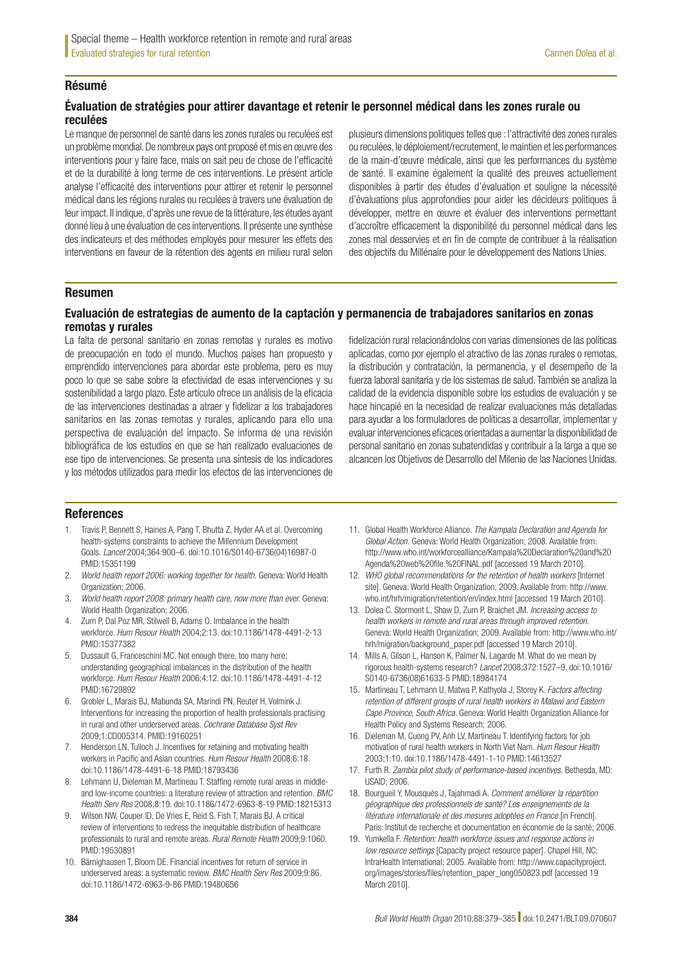### Résumé

#### Évaluation de stratégies pour attirer davantage et retenir le personnel médical dans les zones rurale ou reculées

Le manque de personnel de santé dans les zones rurales ou reculées est un problème mondial. De nombreux pays ont proposé et mis en œuvre des interventions pour y faire face, mais on sait peu de chose de l'efficacité et de la durabilité à long terme de ces interventions. Le présent article analyse l'efficacité des interventions pour attirer et retenir le personnel médical dans les régions rurales ou reculées à travers une évaluation de leur impact. Il indique, d'après une revue de la littérature, les études ayant donné lieu à une évaluation de ces interventions. Il présente une synthèse des indicateurs et des méthodes employés pour mesurer les effets des interventions en faveur de la rétention des agents en milieu rural selon

plusieurs dimensions politiques telles que : l'attractivité des zones rurales ou reculées, le déploiement/recrutement, le maintien et les performances de la main-d'œuvre médicale, ainsi que les performances du système de santé. Il examine également la qualité des preuves actuellement disponibles à partir des études d'évaluation et souligne la nécessité d'évaluations plus approfondies pour aider les décideurs politiques à développer, mettre en œuvre et évaluer des interventions permettant d'accroître efficacement la disponibilité du personnel médical dans les zones mal desservies et en fin de compte de contribuer à la réalisation des objectifs du Millénaire pour le développement des Nations Unies.

#### Resumen

#### Evaluación de estrategias de aumento de la captación y permanencia de trabajadores sanitarios en zonas remotas y rurales

La falta de personal sanitario en zonas remotas y rurales es motivo de preocupación en todo el mundo. Muchos países han propuesto y emprendido intervenciones para abordar este problema, pero es muy poco lo que se sabe sobre la efectividad de esas intervenciones y su sostenibilidad a largo plazo. Este artículo ofrece un análisis de la eficacia de las intervenciones destinadas a atraer y fidelizar a los trabajadores sanitarios en las zonas remotas y rurales, aplicando para ello una perspectiva de evaluación del impacto. Se informa de una revisión bibliográfica de los estudios en que se han realizado evaluaciones de ese tipo de intervenciones. Se presenta una síntesis de los indicadores y los métodos utilizados para medir los efectos de las intervenciones de

fidelización rural relacionándolos con varias dimensiones de las políticas aplicadas, como por ejemplo el atractivo de las zonas rurales o remotas, la distribución y contratación, la permanencia, y el desempeño de la fuerza laboral sanitaria y de los sistemas de salud. También se analiza la calidad de la evidencia disponible sobre los estudios de evaluación y se hace hincapié en la necesidad de realizar evaluaciones más detalladas para ayudar a los formuladores de políticas a desarrollar, implementar y evaluar intervenciones eficaces orientadas a aumentar la disponibilidad de personal sanitario en zonas subatendidas y contribuir a la larga a que se alcancen los Objetivos de Desarrollo del Milenio de las Naciones Unidas.

#### References

- 1. Travis P, Bennett S, Haines A, Pang T, Bhutta Z, Hyder AA et al. Overcoming health-systems constraints to achieve the Millennium Development Goals. *Lancet* 2004;364:900–6. doi:[10.1016/S0140-6736\(04\)16987-0](http://dx.doi.org/10.1016/S0140-6736(04)16987-0) PMID:[15351199](http://www.ncbi.nlm.nih.gov/pubmed/15351199)
- 2. *World health report 2006: working together for health.* Geneva: World Health Organization; 2006.
- 3. *World health report 2008: primary health care, now more than ever.* Geneva: World Health Organization: 2006.
- 4. Zurn P, Dal Poz MR, Stilwell B, Adams O. Imbalance in the health workforce. *Hum Resour Health* 2004;2:13. doi[:10.1186/1478-4491-2-13](http://dx.doi.org/10.1186/1478-4491-2-13)  PMID:[15377382](http://www.ncbi.nlm.nih.gov/pubmed/15377382)
- 5. Dussault G, Franceschini MC. Not enough there, too many here: understanding geographical imbalances in the distribution of the health workforce. *Hum Resour Health* 2006;4:12. doi[:10.1186/1478-4491-4-12](http://dx.doi.org/10.1186/1478-4491-4-12)  PMID:[16729892](http://www.ncbi.nlm.nih.gov/pubmed/16729892)
- 6. Grobler L, Marais BJ, Mabunda SA, Marindi PN, Reuter H, Volmink J. Interventions for increasing the proportion of health professionals practising in rural and other underserved areas. *Cochrane Database Syst Rev* 2009;1:CD005314. PMID:[19160251](http://www.ncbi.nlm.nih.gov/pubmed/19160251)
- 7. Henderson LN, Tulloch J. Incentives for retaining and motivating health workers in Pacific and Asian countries. *Hum Resour Health* 2008;6:18. doi[:10.1186/1478-4491-6-18](http://dx.doi.org/10.1186/1478-4491-6-18) PMID:[18793436](http://www.ncbi.nlm.nih.gov/pubmed/18793436)
- 8. Lehmann U, Dieleman M, Martineau T. Staffing remote rural areas in middleand low-income countries: a literature review of attraction and retention. *BMC Health Serv Res* 2008;8:19. doi[:10.1186/1472-6963-8-19](http://dx.doi.org/10.1186/1472-6963-8-19) PMID:[18215313](http://www.ncbi.nlm.nih.gov/pubmed/18215313)
- 9. Wilson NW, Couper ID, De Vries E, Reid S, Fish T, Marais BJ. A critical review of interventions to redress the inequitable distribution of healthcare professionals to rural and remote areas. *Rural Remote Health* 2009;9:1060. PMID:[19530891](http://www.ncbi.nlm.nih.gov/pubmed/19530891)
- 10. Bärnighausen T, Bloom DE. Financial incentives for return of service in underserved areas: a systematic review. *BMC Health Serv Res* 2009;9:86. doi[:10.1186/1472-6963-9-86](http://dx.doi.org/10.1186/1472-6963-9-86) PMID:[19480656](http://www.ncbi.nlm.nih.gov/pubmed/19480656)
- 11. Global Health Workforce Alliance. *The Kampala Declaration and Agenda for Global Action.* Geneva: World Health Organization; 2008. Available from: [http://www.who.int/workforcealliance/Kampala%20Declaration%20and%20](http://www.who.int/workforcealliance/Kampala%20Declaration%20and%20Agenda%20web%20file.%20FINAL.pdf) [Agenda%20web%20file.%20FINAL.pdf](http://www.who.int/workforcealliance/Kampala%20Declaration%20and%20Agenda%20web%20file.%20FINAL.pdf) [accessed 19 March 2010].
- 12. *WHO global recommendations for the retention of health workers* [Internet site]. Geneva: World Health Organization; 2009. Available from: [http://www.](http://www.who.int/hrh/migration/retention/en/index.html) [who.int/hrh/migration/retention/en/index.html](http://www.who.int/hrh/migration/retention/en/index.html) [accessed 19 March 2010].
- 13. Dolea C. Stormont L, Shaw D, Zurn P, Braichet JM. *Increasing access to health workers in remote and rural areas through improved retention.* Geneva: World Health Organization; 2009. Available from: [http://www.who.int/](http://www.who.int/hrh/migration/background_paper.pdf) [hrh/migration/background\\_paper.pdf](http://www.who.int/hrh/migration/background_paper.pdf) [accessed 19 March 2010].
- 14. Mills A, Gilson L, Hanson K, Palmer N, Lagarde M. What do we mean by rigorous health-systems research? *Lancet* 2008;372:1527–9. doi[:10.1016/](http://dx.doi.org/10.1016/S0140-6736(08)61633-5) [S0140-6736\(08\)61633-5](http://dx.doi.org/10.1016/S0140-6736(08)61633-5) PMID:[18984174](http://www.ncbi.nlm.nih.gov/pubmed/18984174)
- 15. Martineau T, Lehmann U, Matwa P, Kathyola J, Storey K. *Factors affecting retention of different groups of rural health workers in Malawi and Eastern Cape Province, South Africa.* Geneva: World Health Organization Alliance for Health Policy and Systems Research; 2006.
- 16. Dieleman M, Cuong PV, Anh LV, Martineau T. Identifying factors for job motivation of rural health workers in North Viet Nam. *Hum Resour Health* 2003;1:10. doi:[10.1186/1478-4491-1-10](http://dx.doi.org/10.1186/1478-4491-1-10) PMID:[14613527](http://www.ncbi.nlm.nih.gov/pubmed/14613527)
- 17. Furth R. *Zambia pilot study of performance-based incentives.* Bethesda, MD: USAID; 2006.
- 18. Bourgueil Y, Mousquès J, Tajahmadi A. *Comment améliorer la répartition géographique des professionnels de santé? Les enseignements de la litérature internationale et des mesures adoptées en France* [in French]. Paris: Institut de recherche et documentation en économie de la santé; 2006.
- 19. Yumkella F. *Retention: health workforce issues and response actions in low resource settings* [Capacity project resource paper]. Chapel Hill, NC: IntraHealth International; 2005. Available from: [http://www.capacityproject.](http://www.capacityproject.org/images/stories/files/retention_paper_long050823.pdf) [org/images/stories/files/retention\\_paper\\_long050823.pdf](http://www.capacityproject.org/images/stories/files/retention_paper_long050823.pdf) [accessed 19 March 2010].